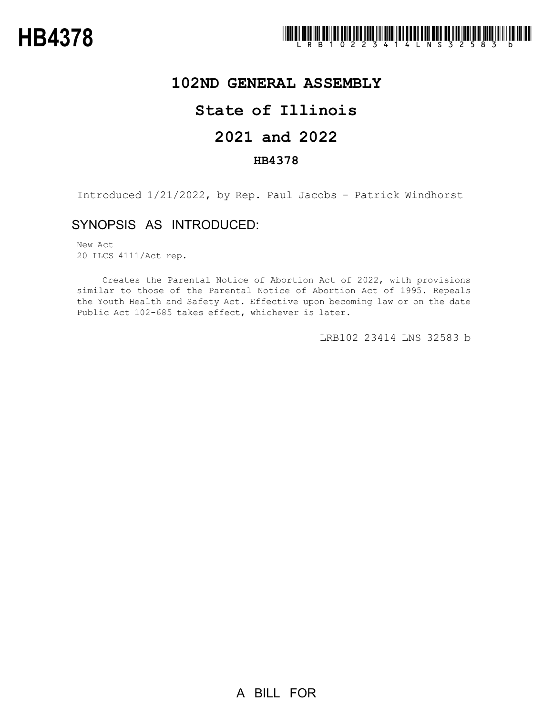

## **102ND GENERAL ASSEMBLY**

# **State of Illinois**

# **2021 and 2022**

### **HB4378**

Introduced 1/21/2022, by Rep. Paul Jacobs - Patrick Windhorst

### SYNOPSIS AS INTRODUCED:

New Act 20 ILCS 4111/Act rep.

Creates the Parental Notice of Abortion Act of 2022, with provisions similar to those of the Parental Notice of Abortion Act of 1995. Repeals the Youth Health and Safety Act. Effective upon becoming law or on the date Public Act 102-685 takes effect, whichever is later.

LRB102 23414 LNS 32583 b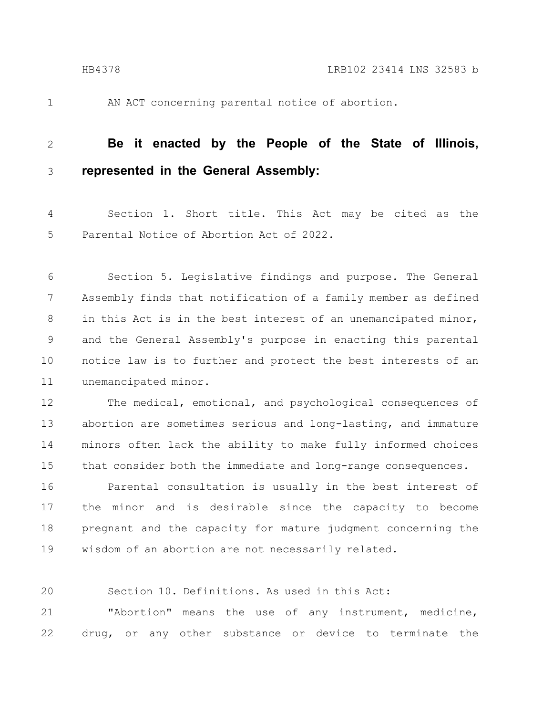- 
- 1

AN ACT concerning parental notice of abortion.

#### **Be it enacted by the People of the State of Illinois, represented in the General Assembly:** 2 3

Section 1. Short title. This Act may be cited as the Parental Notice of Abortion Act of 2022. 4 5

Section 5. Legislative findings and purpose. The General Assembly finds that notification of a family member as defined in this Act is in the best interest of an unemancipated minor, and the General Assembly's purpose in enacting this parental notice law is to further and protect the best interests of an unemancipated minor. 6 7 8 9 10 11

The medical, emotional, and psychological consequences of abortion are sometimes serious and long-lasting, and immature minors often lack the ability to make fully informed choices that consider both the immediate and long-range consequences. 12 13 14 15

Parental consultation is usually in the best interest of the minor and is desirable since the capacity to become pregnant and the capacity for mature judgment concerning the wisdom of an abortion are not necessarily related. 16 17 18 19

20

Section 10. Definitions. As used in this Act:

"Abortion" means the use of any instrument, medicine, drug, or any other substance or device to terminate the 21 22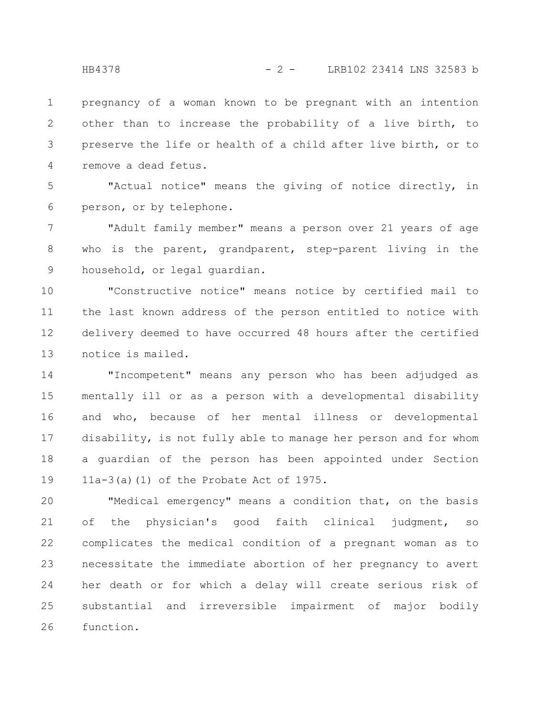pregnancy of a woman known to be pregnant with an intention other than to increase the probability of a live birth, to preserve the life or health of a child after live birth, or to remove a dead fetus. 1 2 3 4

"Actual notice" means the giving of notice directly, in person, or by telephone. 5 6

"Adult family member" means a person over 21 years of age who is the parent, grandparent, step-parent living in the household, or legal guardian. 7 8 9

"Constructive notice" means notice by certified mail to the last known address of the person entitled to notice with delivery deemed to have occurred 48 hours after the certified notice is mailed. 10 11 12 13

"Incompetent" means any person who has been adjudged as mentally ill or as a person with a developmental disability and who, because of her mental illness or developmental disability, is not fully able to manage her person and for whom a guardian of the person has been appointed under Section 11a-3(a)(1) of the Probate Act of 1975. 14 15 16 17 18 19

"Medical emergency" means a condition that, on the basis of the physician's good faith clinical judgment, so complicates the medical condition of a pregnant woman as to necessitate the immediate abortion of her pregnancy to avert her death or for which a delay will create serious risk of substantial and irreversible impairment of major bodily function. 20 21 22 23 24 25 26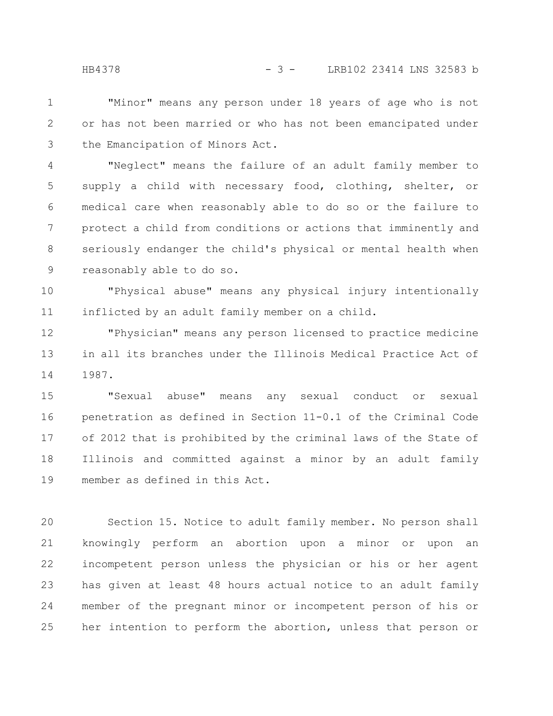"Minor" means any person under 18 years of age who is not or has not been married or who has not been emancipated under the Emancipation of Minors Act. 1 2 3

"Neglect" means the failure of an adult family member to supply a child with necessary food, clothing, shelter, or medical care when reasonably able to do so or the failure to protect a child from conditions or actions that imminently and seriously endanger the child's physical or mental health when reasonably able to do so. 4 5 6 7 8 9

"Physical abuse" means any physical injury intentionally inflicted by an adult family member on a child. 10 11

"Physician" means any person licensed to practice medicine in all its branches under the Illinois Medical Practice Act of 1987. 12 13 14

"Sexual abuse" means any sexual conduct or sexual penetration as defined in Section 11-0.1 of the Criminal Code of 2012 that is prohibited by the criminal laws of the State of Illinois and committed against a minor by an adult family member as defined in this Act. 15 16 17 18 19

Section 15. Notice to adult family member. No person shall knowingly perform an abortion upon a minor or upon an incompetent person unless the physician or his or her agent has given at least 48 hours actual notice to an adult family member of the pregnant minor or incompetent person of his or her intention to perform the abortion, unless that person or 20 21 22 23 24 25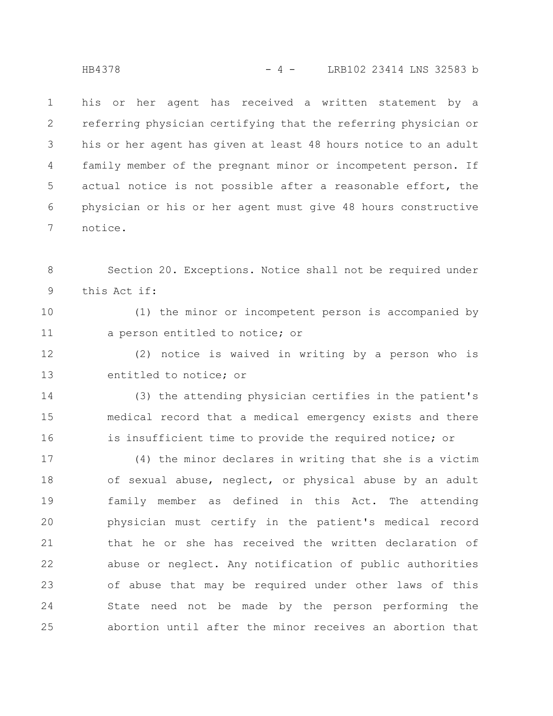his or her agent has received a written statement by a referring physician certifying that the referring physician or his or her agent has given at least 48 hours notice to an adult family member of the pregnant minor or incompetent person. If actual notice is not possible after a reasonable effort, the physician or his or her agent must give 48 hours constructive notice. 1 2 3 4 5 6 7

Section 20. Exceptions. Notice shall not be required under this Act if: 8 9

(1) the minor or incompetent person is accompanied by a person entitled to notice; or 10 11

(2) notice is waived in writing by a person who is entitled to notice; or 12 13

(3) the attending physician certifies in the patient's medical record that a medical emergency exists and there is insufficient time to provide the required notice; or 14 15 16

(4) the minor declares in writing that she is a victim of sexual abuse, neglect, or physical abuse by an adult family member as defined in this Act. The attending physician must certify in the patient's medical record that he or she has received the written declaration of abuse or neglect. Any notification of public authorities of abuse that may be required under other laws of this State need not be made by the person performing the abortion until after the minor receives an abortion that 17 18 19 20 21 22 23 24 25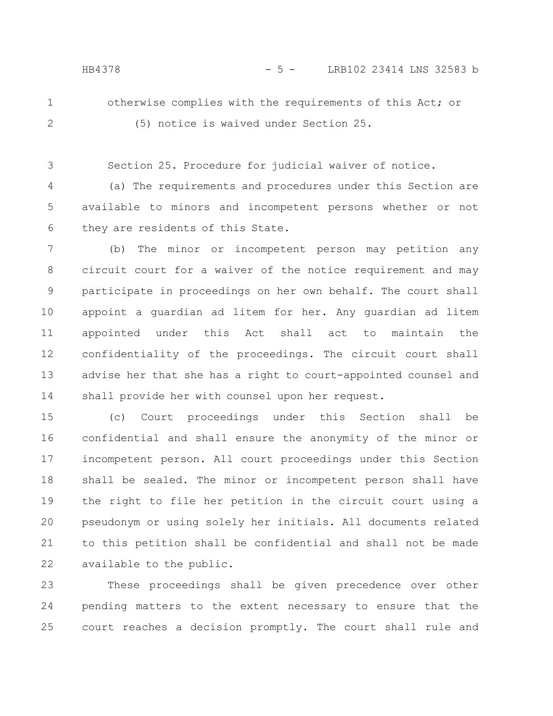1

2

otherwise complies with the requirements of this Act; or (5) notice is waived under Section 25.

Section 25. Procedure for judicial waiver of notice. 3

(a) The requirements and procedures under this Section are available to minors and incompetent persons whether or not they are residents of this State. 4 5 6

(b) The minor or incompetent person may petition any circuit court for a waiver of the notice requirement and may participate in proceedings on her own behalf. The court shall appoint a guardian ad litem for her. Any guardian ad litem appointed under this Act shall act to maintain the confidentiality of the proceedings. The circuit court shall advise her that she has a right to court-appointed counsel and shall provide her with counsel upon her request. 7 8 9 10 11 12 13 14

(c) Court proceedings under this Section shall be confidential and shall ensure the anonymity of the minor or incompetent person. All court proceedings under this Section shall be sealed. The minor or incompetent person shall have the right to file her petition in the circuit court using a pseudonym or using solely her initials. All documents related to this petition shall be confidential and shall not be made available to the public. 15 16 17 18 19 20 21 22

These proceedings shall be given precedence over other pending matters to the extent necessary to ensure that the court reaches a decision promptly. The court shall rule and 23 24 25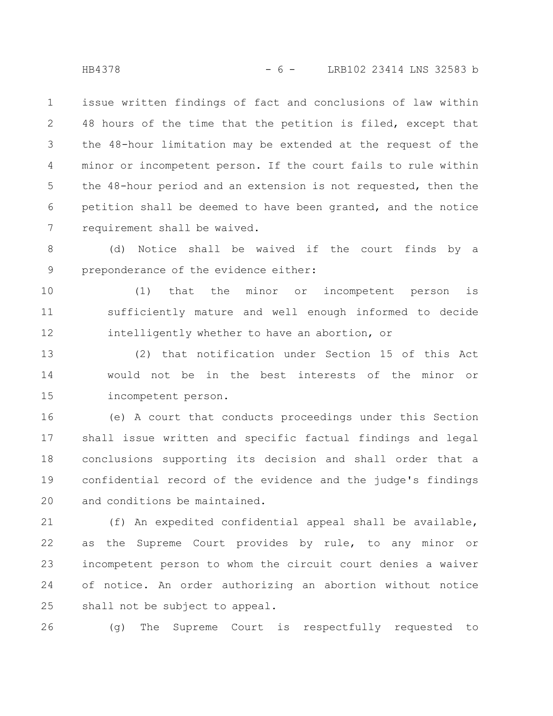issue written findings of fact and conclusions of law within 48 hours of the time that the petition is filed, except that the 48-hour limitation may be extended at the request of the minor or incompetent person. If the court fails to rule within the 48-hour period and an extension is not requested, then the petition shall be deemed to have been granted, and the notice requirement shall be waived. 1 2 3 4 5 6 7

(d) Notice shall be waived if the court finds by a preponderance of the evidence either: 8 9

(1) that the minor or incompetent person is sufficiently mature and well enough informed to decide intelligently whether to have an abortion, or 10 11 12

(2) that notification under Section 15 of this Act would not be in the best interests of the minor or incompetent person. 13 14 15

(e) A court that conducts proceedings under this Section shall issue written and specific factual findings and legal conclusions supporting its decision and shall order that a confidential record of the evidence and the judge's findings and conditions be maintained. 16 17 18 19 20

(f) An expedited confidential appeal shall be available, as the Supreme Court provides by rule, to any minor or incompetent person to whom the circuit court denies a waiver of notice. An order authorizing an abortion without notice shall not be subject to appeal. 21 22 23 24 25

(g) The Supreme Court is respectfully requested to 26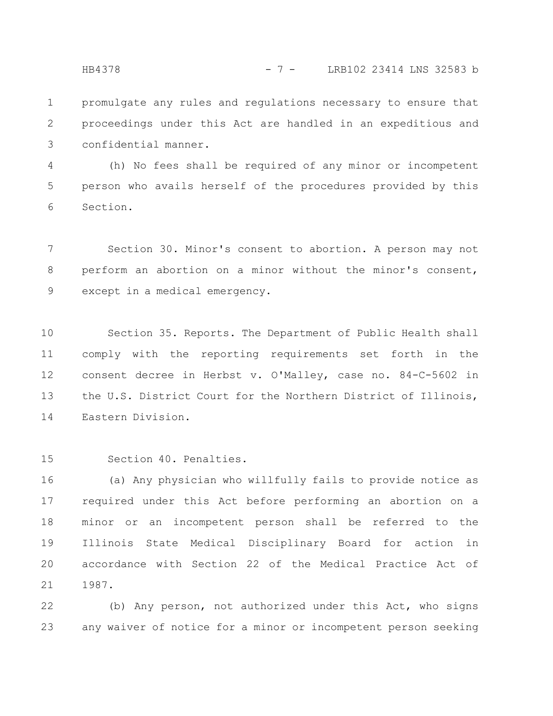HB4378 - 7 - LRB102 23414 LNS 32583 b

promulgate any rules and regulations necessary to ensure that proceedings under this Act are handled in an expeditious and confidential manner. 1 2 3

(h) No fees shall be required of any minor or incompetent person who avails herself of the procedures provided by this Section. 4 5 6

Section 30. Minor's consent to abortion. A person may not perform an abortion on a minor without the minor's consent, except in a medical emergency. 7 8 9

Section 35. Reports. The Department of Public Health shall comply with the reporting requirements set forth in the consent decree in Herbst v. O'Malley, case no. 84-C-5602 in the U.S. District Court for the Northern District of Illinois, Eastern Division. 10 11 12 13 14

Section 40. Penalties. 15

(a) Any physician who willfully fails to provide notice as required under this Act before performing an abortion on a minor or an incompetent person shall be referred to the Illinois State Medical Disciplinary Board for action in accordance with Section 22 of the Medical Practice Act of 1987. 16 17 18 19 20 21

(b) Any person, not authorized under this Act, who signs any waiver of notice for a minor or incompetent person seeking 22 23